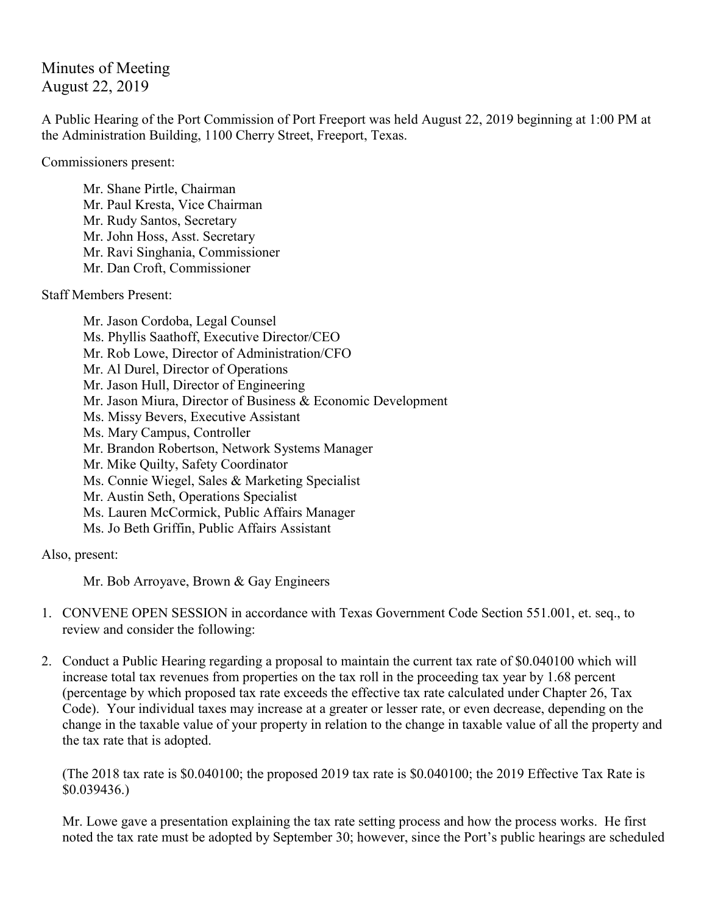Minutes of Meeting August 22, 2019

A Public Hearing of the Port Commission of Port Freeport was held August 22, 2019 beginning at 1:00 PM at the Administration Building, 1100 Cherry Street, Freeport, Texas.

Commissioners present:

Mr. Shane Pirtle, Chairman Mr. Paul Kresta, Vice Chairman Mr. Rudy Santos, Secretary Mr. John Hoss, Asst. Secretary Mr. Ravi Singhania, Commissioner Mr. Dan Croft, Commissioner

Staff Members Present:

Mr. Jason Cordoba, Legal Counsel Ms. Phyllis Saathoff, Executive Director/CEO Mr. Rob Lowe, Director of Administration/CFO Mr. Al Durel, Director of Operations Mr. Jason Hull, Director of Engineering Mr. Jason Miura, Director of Business & Economic Development Ms. Missy Bevers, Executive Assistant Ms. Mary Campus, Controller Mr. Brandon Robertson, Network Systems Manager Mr. Mike Quilty, Safety Coordinator Ms. Connie Wiegel, Sales & Marketing Specialist Mr. Austin Seth, Operations Specialist Ms. Lauren McCormick, Public Affairs Manager Ms. Jo Beth Griffin, Public Affairs Assistant

Also, present:

Mr. Bob Arroyave, Brown & Gay Engineers

- 1. CONVENE OPEN SESSION in accordance with Texas Government Code Section 551.001, et. seq., to review and consider the following:
- 2. Conduct a Public Hearing regarding a proposal to maintain the current tax rate of \$0.040100 which will increase total tax revenues from properties on the tax roll in the proceeding tax year by 1.68 percent (percentage by which proposed tax rate exceeds the effective tax rate calculated under Chapter 26, Tax Code). Your individual taxes may increase at a greater or lesser rate, or even decrease, depending on the change in the taxable value of your property in relation to the change in taxable value of all the property and the tax rate that is adopted.

(The 2018 tax rate is \$0.040100; the proposed 2019 tax rate is \$0.040100; the 2019 Effective Tax Rate is \$0.039436.)

Mr. Lowe gave a presentation explaining the tax rate setting process and how the process works. He first noted the tax rate must be adopted by September 30; however, since the Port's public hearings are scheduled